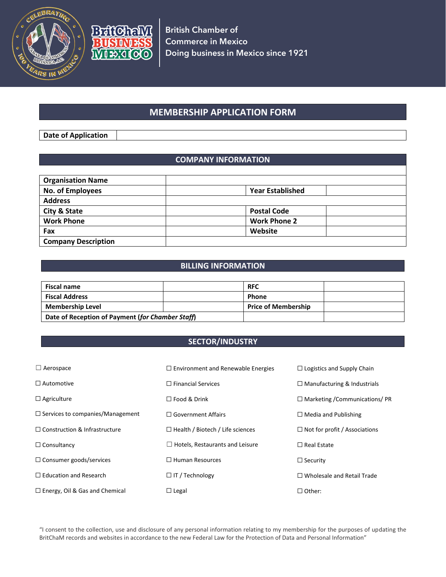



# **MEMBERSHIP APPLICATION FORM**

**Date of Application**

### **COMPANY INFORMATION**

| <b>Organisation Name</b>   |                         |  |
|----------------------------|-------------------------|--|
| No. of Employees           | <b>Year Established</b> |  |
| <b>Address</b>             |                         |  |
| <b>City &amp; State</b>    | <b>Postal Code</b>      |  |
| <b>Work Phone</b>          | <b>Work Phone 2</b>     |  |
| Fax                        | Website                 |  |
| <b>Company Description</b> |                         |  |

## **BILLING INFORMATION**

| <b>Fiscal name</b>                               |  | <b>RFC</b>                 |  |
|--------------------------------------------------|--|----------------------------|--|
| <b>Fiscal Address</b>                            |  | <b>Phone</b>               |  |
| <b>Membership Level</b>                          |  | <b>Price of Membership</b> |  |
| Date of Reception of Payment (for Chamber Staff) |  |                            |  |

#### **SECTOR/INDUSTRY**

| $\Box$ Aerospace                        | $\Box$ Environment and Renewable Energies | $\Box$ Logistics and Supply Chain     |
|-----------------------------------------|-------------------------------------------|---------------------------------------|
| $\Box$ Automotive                       | $\Box$ Financial Services                 | $\Box$ Manufacturing & Industrials    |
| $\Box$ Agriculture                      | $\Box$ Food & Drink                       | $\Box$ Marketing / Communications/ PR |
| $\Box$ Services to companies/Management | $\Box$ Government Affairs                 | $\Box$ Media and Publishing           |
| $\Box$ Construction & Infrastructure    | $\Box$ Health / Biotech / Life sciences   | $\Box$ Not for profit / Associations  |
| $\Box$ Consultancy                      | Hotels, Restaurants and Leisure           | $\Box$ Real Estate                    |
| $\Box$ Consumer goods/services          | $\Box$ Human Resources                    | $\Box$ Security                       |
| $\Box$ Education and Research           | $\Box$ IT / Technology                    | $\Box$ Wholesale and Retail Trade     |
| $\Box$ Energy, Oil & Gas and Chemical   | $\Box$ Legal                              | $\Box$ Other:                         |

"I consent to the collection, use and disclosure of any personal information relating to my membership for the purposes of updating the BritChaM records and websites in accordance to the new Federal Law for the Protection of Data and Personal Information"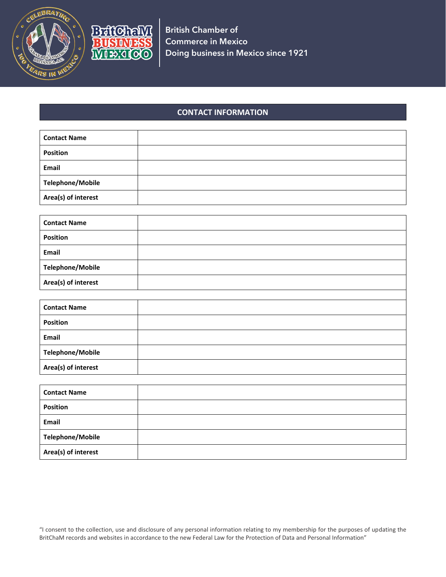



**British Chamber of Commerce in Mexico Doing business in Mexico since 1921**

#### **CONTACT INFORMATION**

| <b>Contact Name</b>     |  |
|-------------------------|--|
| <b>Position</b>         |  |
| Email                   |  |
| <b>Telephone/Mobile</b> |  |
| Area(s) of interest     |  |

| <b>Contact Name</b>     |  |
|-------------------------|--|
| <b>Position</b>         |  |
| Email                   |  |
| <b>Telephone/Mobile</b> |  |
| Area(s) of interest     |  |

| <b>Contact Name</b> |  |
|---------------------|--|
| <b>Position</b>     |  |
| Email               |  |
| Telephone/Mobile    |  |
| Area(s) of interest |  |

| <b>Contact Name</b>     |  |
|-------------------------|--|
| <b>Position</b>         |  |
| Email                   |  |
| <b>Telephone/Mobile</b> |  |
| Area(s) of interest     |  |

"I consent to the collection, use and disclosure of any personal information relating to my membership for the purposes of updating the BritChaM records and websites in accordance to the new Federal Law for the Protection of Data and Personal Information"